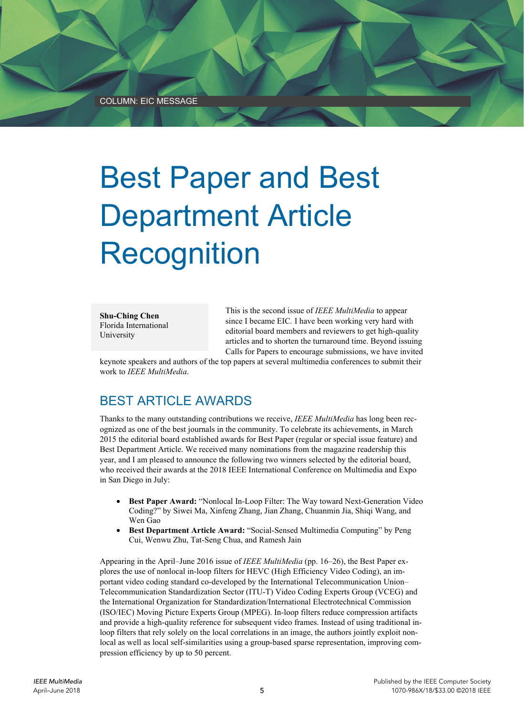## Best Paper and Best Department Article Recognition

**Shu-Ching Chen**  Florida International University

This is the second issue of *IEEE MultiMedia* to appear since I became EIC*.* I have been working very hard with editorial board members and reviewers to get high-quality articles and to shorten the turnaround time. Beyond issuing Calls for Papers to encourage submissions, we have invited

keynote speakers and authors of the top papers at several multimedia conferences to submit their work to *IEEE MultiMedia*.

## BEST ARTICLE AWARDS

Thanks to the many outstanding contributions we receive, *IEEE MultiMedia* has long been recognized as one of the best journals in the community. To celebrate its achievements, in March 2015 the editorial board established awards for Best Paper (regular or special issue feature) and Best Department Article. We received many nominations from the magazine readership this year, and I am pleased to announce the following two winners selected by the editorial board, who received their awards at the 2018 IEEE International Conference on Multimedia and Expo in San Diego in July:

- **Best Paper Award:** "Nonlocal In-Loop Filter: The Way toward Next-Generation Video Coding?" by Siwei Ma, Xinfeng Zhang, Jian Zhang, Chuanmin Jia, Shiqi Wang, and Wen Gao
- **Best Department Article Award:** "Social-Sensed Multimedia Computing" by Peng Cui, Wenwu Zhu, Tat-Seng Chua, and Ramesh Jain

Appearing in the April–June 2016 issue of *IEEE MultiMedia* (pp. 16–26), the Best Paper explores the use of nonlocal in-loop filters for HEVC (High Efficiency Video Coding), an important video coding standard co-developed by the International Telecommunication Union– Telecommunication Standardization Sector (ITU-T) Video Coding Experts Group (VCEG) and the International Organization for Standardization/International Electrotechnical Commission (ISO/IEC) Moving Picture Experts Group (MPEG). In-loop filters reduce compression artifacts and provide a high-quality reference for subsequent video frames. Instead of using traditional inloop filters that rely solely on the local correlations in an image, the authors jointly exploit nonlocal as well as local self-similarities using a group-based sparse representation, improving compression efficiency by up to 50 percent.